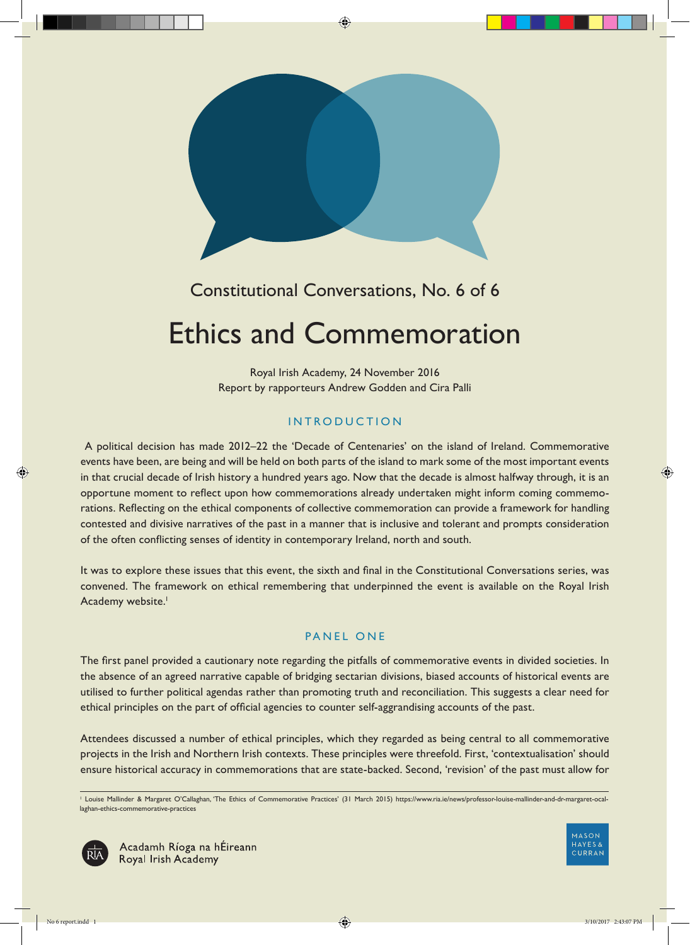

# Constitutional Conversations, No. 6 of 6

# Ethics and Commemoration

Royal Irish Academy, 24 November 2016 Report by rapporteurs Andrew Godden and Cira Palli

# INTRODUCTION

 A political decision has made 2012–22 the 'Decade of Centenaries' on the island of Ireland. Commemorative events have been, are being and will be held on both parts of the island to mark some of the most important events in that crucial decade of Irish history a hundred years ago. Now that the decade is almost halfway through, it is an opportune moment to reflect upon how commemorations already undertaken might inform coming commemorations. Reflecting on the ethical components of collective commemoration can provide a framework for handling contested and divisive narratives of the past in a manner that is inclusive and tolerant and prompts consideration of the often conflicting senses of identity in contemporary Ireland, north and south.

It was to explore these issues that this event, the sixth and final in the Constitutional Conversations series, was convened. The framework on ethical remembering that underpinned the event is available on the Royal Irish Academy website.<sup>1</sup>

# PANEL ONE

The first panel provided a cautionary note regarding the pitfalls of commemorative events in divided societies. In the absence of an agreed narrative capable of bridging sectarian divisions, biased accounts of historical events are utilised to further political agendas rather than promoting truth and reconciliation. This suggests a clear need for ethical principles on the part of official agencies to counter self-aggrandising accounts of the past.

Attendees discussed a number of ethical principles, which they regarded as being central to all commemorative projects in the Irish and Northern Irish contexts. These principles were threefold. First, 'contextualisation' should ensure historical accuracy in commemorations that are state-backed. Second, 'revision' of the past must allow for

<sup>1</sup> Louise Mallinder & Margaret O'Callaghan, 'The Ethics of Commemorative Practices' (31 March 2015) https://www.ria.ie/news/professor-louise-mallinder-and-dr-margaret-ocallaghan-ethics-commemorative-practices



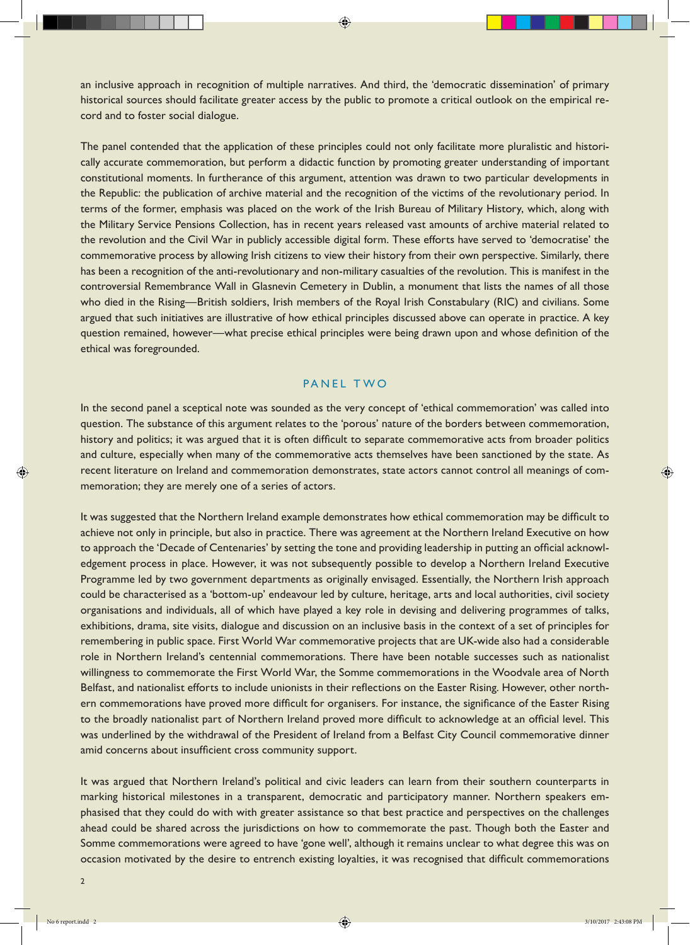an inclusive approach in recognition of multiple narratives. And third, the 'democratic dissemination' of primary historical sources should facilitate greater access by the public to promote a critical outlook on the empirical record and to foster social dialogue.

The panel contended that the application of these principles could not only facilitate more pluralistic and historically accurate commemoration, but perform a didactic function by promoting greater understanding of important constitutional moments. In furtherance of this argument, attention was drawn to two particular developments in the Republic: the publication of archive material and the recognition of the victims of the revolutionary period. In terms of the former, emphasis was placed on the work of the Irish Bureau of Military History, which, along with the Military Service Pensions Collection, has in recent years released vast amounts of archive material related to the revolution and the Civil War in publicly accessible digital form. These efforts have served to 'democratise' the commemorative process by allowing Irish citizens to view their history from their own perspective. Similarly, there has been a recognition of the anti-revolutionary and non-military casualties of the revolution. This is manifest in the controversial Remembrance Wall in Glasnevin Cemetery in Dublin, a monument that lists the names of all those who died in the Rising—British soldiers, Irish members of the Royal Irish Constabulary (RIC) and civilians. Some argued that such initiatives are illustrative of how ethical principles discussed above can operate in practice. A key question remained, however—what precise ethical principles were being drawn upon and whose definition of the ethical was foregrounded.

#### PANEL TWO

In the second panel a sceptical note was sounded as the very concept of 'ethical commemoration' was called into question. The substance of this argument relates to the 'porous' nature of the borders between commemoration, history and politics; it was argued that it is often difficult to separate commemorative acts from broader politics and culture, especially when many of the commemorative acts themselves have been sanctioned by the state. As recent literature on Ireland and commemoration demonstrates, state actors cannot control all meanings of commemoration; they are merely one of a series of actors.

It was suggested that the Northern Ireland example demonstrates how ethical commemoration may be difficult to achieve not only in principle, but also in practice. There was agreement at the Northern Ireland Executive on how to approach the 'Decade of Centenaries' by setting the tone and providing leadership in putting an official acknowledgement process in place. However, it was not subsequently possible to develop a Northern Ireland Executive Programme led by two government departments as originally envisaged. Essentially, the Northern Irish approach could be characterised as a 'bottom-up' endeavour led by culture, heritage, arts and local authorities, civil society organisations and individuals, all of which have played a key role in devising and delivering programmes of talks, exhibitions, drama, site visits, dialogue and discussion on an inclusive basis in the context of a set of principles for remembering in public space. First World War commemorative projects that are UK-wide also had a considerable role in Northern Ireland's centennial commemorations. There have been notable successes such as nationalist willingness to commemorate the First World War, the Somme commemorations in the Woodvale area of North Belfast, and nationalist efforts to include unionists in their reflections on the Easter Rising. However, other northern commemorations have proved more difficult for organisers. For instance, the significance of the Easter Rising to the broadly nationalist part of Northern Ireland proved more difficult to acknowledge at an official level. This was underlined by the withdrawal of the President of Ireland from a Belfast City Council commemorative dinner amid concerns about insufficient cross community support.

It was argued that Northern Ireland's political and civic leaders can learn from their southern counterparts in marking historical milestones in a transparent, democratic and participatory manner. Northern speakers emphasised that they could do with with greater assistance so that best practice and perspectives on the challenges ahead could be shared across the jurisdictions on how to commemorate the past. Though both the Easter and Somme commemorations were agreed to have 'gone well', although it remains unclear to what degree this was on occasion motivated by the desire to entrench existing loyalties, it was recognised that difficult commemorations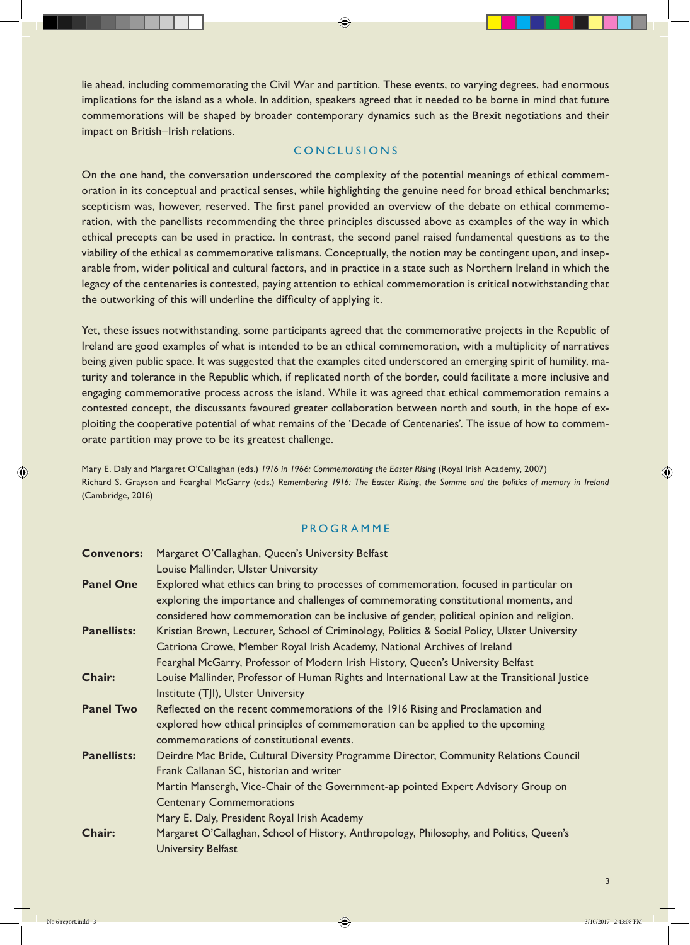lie ahead, including commemorating the Civil War and partition. These events, to varying degrees, had enormous implications for the island as a whole. In addition, speakers agreed that it needed to be borne in mind that future commemorations will be shaped by broader contemporary dynamics such as the Brexit negotiations and their impact on British–Irish relations.

## CONCLUSIONS

On the one hand, the conversation underscored the complexity of the potential meanings of ethical commemoration in its conceptual and practical senses, while highlighting the genuine need for broad ethical benchmarks; scepticism was, however, reserved. The first panel provided an overview of the debate on ethical commemoration, with the panellists recommending the three principles discussed above as examples of the way in which ethical precepts can be used in practice. In contrast, the second panel raised fundamental questions as to the viability of the ethical as commemorative talismans. Conceptually, the notion may be contingent upon, and inseparable from, wider political and cultural factors, and in practice in a state such as Northern Ireland in which the legacy of the centenaries is contested, paying attention to ethical commemoration is critical notwithstanding that the outworking of this will underline the difficulty of applying it.

Yet, these issues notwithstanding, some participants agreed that the commemorative projects in the Republic of Ireland are good examples of what is intended to be an ethical commemoration, with a multiplicity of narratives being given public space. It was suggested that the examples cited underscored an emerging spirit of humility, maturity and tolerance in the Republic which, if replicated north of the border, could facilitate a more inclusive and engaging commemorative process across the island. While it was agreed that ethical commemoration remains a contested concept, the discussants favoured greater collaboration between north and south, in the hope of exploiting the cooperative potential of what remains of the 'Decade of Centenaries'. The issue of how to commemorate partition may prove to be its greatest challenge.

Mary E. Daly and Margaret O'Callaghan (eds.) *1916 in 1966: Commemorating the Easter Rising* (Royal Irish Academy, 2007) Richard S. Grayson and Fearghal McGarry (eds.) *Remembering 1916: The Easter Rising, the Somme and the politics of memory in Ireland*  (Cambridge, 2016)

#### PROGRAMME

| <b>Convenors:</b>  | Margaret O'Callaghan, Queen's University Belfast                                              |
|--------------------|-----------------------------------------------------------------------------------------------|
|                    | Louise Mallinder, Ulster University                                                           |
| <b>Panel One</b>   | Explored what ethics can bring to processes of commemoration, focused in particular on        |
|                    | exploring the importance and challenges of commemorating constitutional moments, and          |
|                    | considered how commemoration can be inclusive of gender, political opinion and religion.      |
| <b>Panellists:</b> | Kristian Brown, Lecturer, School of Criminology, Politics & Social Policy, Ulster University  |
|                    | Catriona Crowe, Member Royal Irish Academy, National Archives of Ireland                      |
|                    | Fearghal McGarry, Professor of Modern Irish History, Queen's University Belfast               |
| <b>Chair:</b>      | Louise Mallinder, Professor of Human Rights and International Law at the Transitional Justice |
|                    | Institute (TJI), Ulster University                                                            |
| <b>Panel Two</b>   | Reflected on the recent commemorations of the 1916 Rising and Proclamation and                |
|                    | explored how ethical principles of commemoration can be applied to the upcoming               |
|                    | commemorations of constitutional events.                                                      |
| <b>Panellists:</b> | Deirdre Mac Bride, Cultural Diversity Programme Director, Community Relations Council         |
|                    | Frank Callanan SC, historian and writer                                                       |
|                    | Martin Mansergh, Vice-Chair of the Government-ap pointed Expert Advisory Group on             |
|                    | <b>Centenary Commemorations</b>                                                               |
|                    | Mary E. Daly, President Royal Irish Academy                                                   |
| Chair:             | Margaret O'Callaghan, School of History, Anthropology, Philosophy, and Politics, Queen's      |
|                    | <b>University Belfast</b>                                                                     |